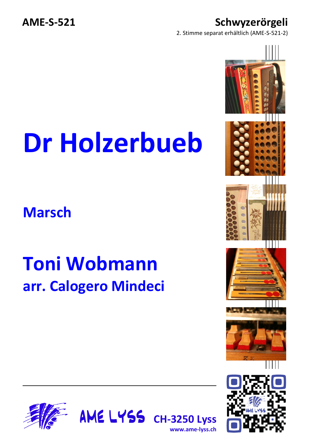2. Stimme separat erhältlich (AME-S-521-2)

## **Dr Holzerbueb**

**Marsch**

## **Toni Wobmann arr. Calogero Mindeci**





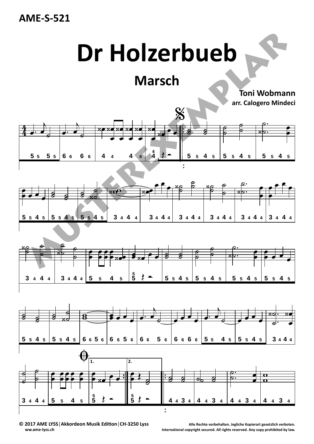